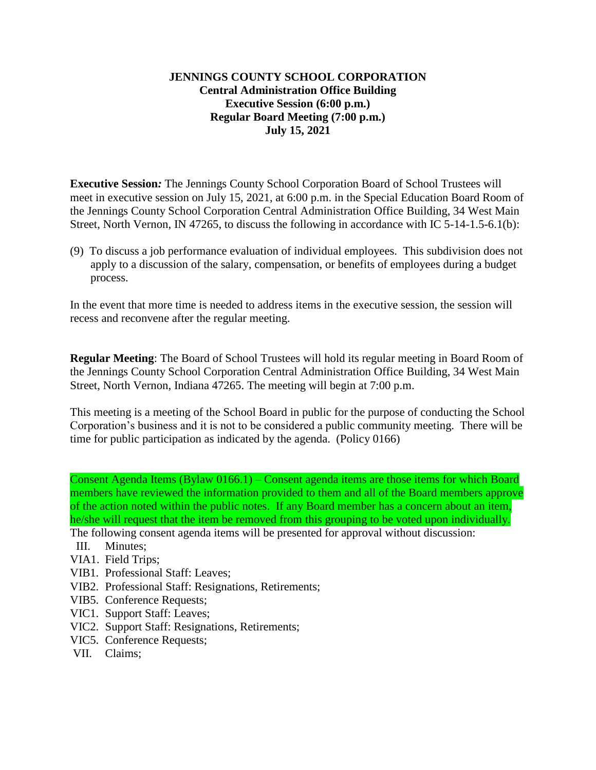## **JENNINGS COUNTY SCHOOL CORPORATION Central Administration Office Building Executive Session (6:00 p.m.) Regular Board Meeting (7:00 p.m.) July 15, 2021**

**Executive Session***:* The Jennings County School Corporation Board of School Trustees will meet in executive session on July 15, 2021, at 6:00 p.m. in the Special Education Board Room of the Jennings County School Corporation Central Administration Office Building, 34 West Main Street, North Vernon, IN 47265, to discuss the following in accordance with IC 5-14-1.5-6.1(b):

(9) To discuss a job performance evaluation of individual employees. This subdivision does not apply to a discussion of the salary, compensation, or benefits of employees during a budget process.

In the event that more time is needed to address items in the executive session, the session will recess and reconvene after the regular meeting.

**Regular Meeting**: The Board of School Trustees will hold its regular meeting in Board Room of the Jennings County School Corporation Central Administration Office Building, 34 West Main Street, North Vernon, Indiana 47265. The meeting will begin at 7:00 p.m.

This meeting is a meeting of the School Board in public for the purpose of conducting the School Corporation's business and it is not to be considered a public community meeting. There will be time for public participation as indicated by the agenda. (Policy 0166)

Consent Agenda Items (Bylaw 0166.1) – Consent agenda items are those items for which Board members have reviewed the information provided to them and all of the Board members approve of the action noted within the public notes. If any Board member has a concern about an item, he/she will request that the item be removed from this grouping to be voted upon individually.

- The following consent agenda items will be presented for approval without discussion:
- III. Minutes;
- VIA1. Field Trips;
- VIB1. Professional Staff: Leaves;
- VIB2. Professional Staff: Resignations, Retirements;
- VIB5. Conference Requests;
- VIC1. Support Staff: Leaves;
- VIC2. Support Staff: Resignations, Retirements;
- VIC5. Conference Requests;
- VII. Claims;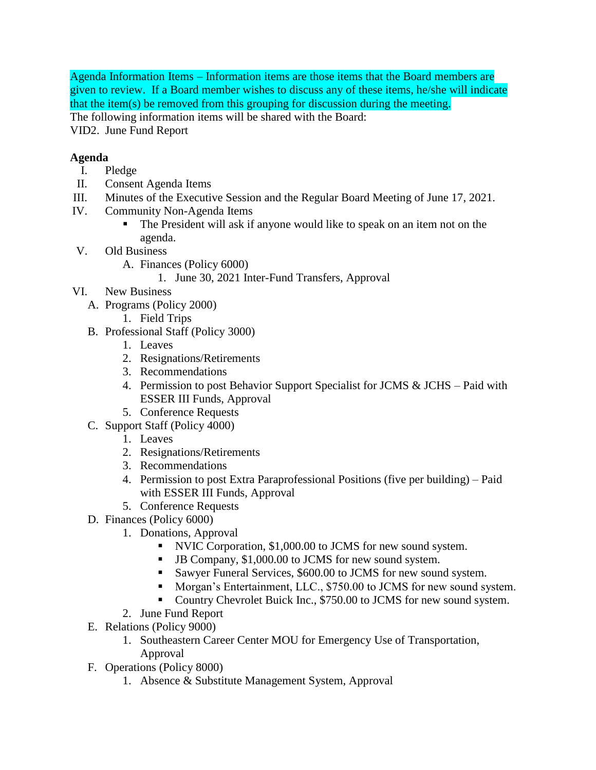Agenda Information Items – Information items are those items that the Board members are given to review. If a Board member wishes to discuss any of these items, he/she will indicate that the item(s) be removed from this grouping for discussion during the meeting.

The following information items will be shared with the Board:

VID2. June Fund Report

## **Agenda**

- I. Pledge
- II. Consent Agenda Items
- III. Minutes of the Executive Session and the Regular Board Meeting of June 17, 2021.
- IV. Community Non-Agenda Items
	- The President will ask if anyone would like to speak on an item not on the agenda.
- V. Old Business
	- A. Finances (Policy 6000)
		- 1. June 30, 2021 Inter-Fund Transfers, Approval
- VI. New Business
	- A. Programs (Policy 2000)
	- 1. Field Trips
	- B. Professional Staff (Policy 3000)
		- 1. Leaves
		- 2. Resignations/Retirements
		- 3. Recommendations
		- 4. Permission to post Behavior Support Specialist for JCMS & JCHS Paid with ESSER III Funds, Approval
		- 5. Conference Requests
	- C. Support Staff (Policy 4000)
		- 1. Leaves
		- 2. Resignations/Retirements
		- 3. Recommendations
		- 4. Permission to post Extra Paraprofessional Positions (five per building) Paid with ESSER III Funds, Approval
		- 5. Conference Requests
	- D. Finances (Policy 6000)
		- 1. Donations, Approval
			- NVIC Corporation, \$1,000.00 to JCMS for new sound system.
			- JB Company, \$1,000.00 to JCMS for new sound system.
			- Sawyer Funeral Services, \$600.00 to JCMS for new sound system.
			- **Morgan's Entertainment, LLC., \$750.00 to JCMS for new sound system.**
			- Country Chevrolet Buick Inc., \$750.00 to JCMS for new sound system.
		- 2. June Fund Report
	- E. Relations (Policy 9000)
		- 1. Southeastern Career Center MOU for Emergency Use of Transportation, Approval
	- F. Operations (Policy 8000)
		- 1. Absence & Substitute Management System, Approval